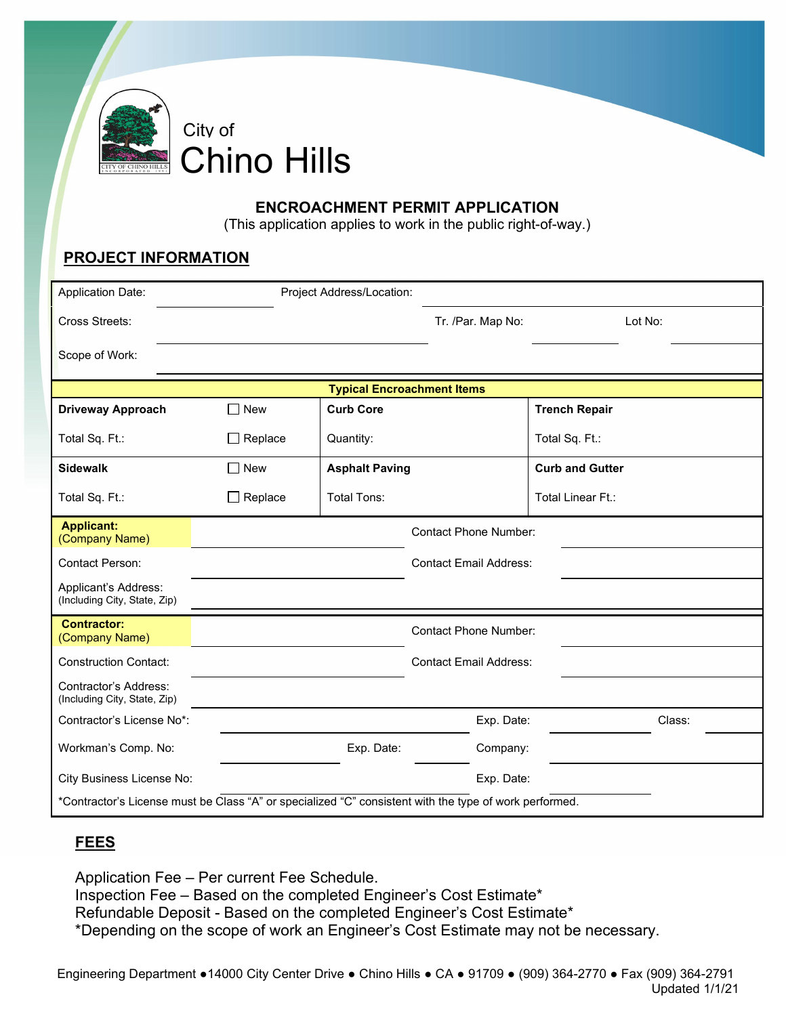

# Chino Hills

### **ENCROACHMENT PERMIT APPLICATION**

(This application applies to work in the public right-of-way.)

## **PROJECT INFORMATION**

| <b>Application Date:</b>                                                                               |                | Project Address/Location:     |                               |                        |  |
|--------------------------------------------------------------------------------------------------------|----------------|-------------------------------|-------------------------------|------------------------|--|
| Cross Streets:                                                                                         |                |                               | Tr. /Par. Map No:             | Lot No:                |  |
| Scope of Work:                                                                                         |                |                               |                               |                        |  |
| <b>Typical Encroachment Items</b>                                                                      |                |                               |                               |                        |  |
| <b>Driveway Approach</b>                                                                               | $\Box$ New     | <b>Curb Core</b>              |                               | <b>Trench Repair</b>   |  |
| Total Sq. Ft.:                                                                                         | $\Box$ Replace | Quantity:                     |                               | Total Sq. Ft.:         |  |
| <b>Sidewalk</b>                                                                                        | $\Box$ New     | <b>Asphalt Paving</b>         |                               | <b>Curb and Gutter</b> |  |
| Total Sq. Ft.:                                                                                         | $\Box$ Replace | <b>Total Tons:</b>            |                               | Total Linear Ft.:      |  |
| <b>Applicant:</b><br>(Company Name)                                                                    |                |                               | <b>Contact Phone Number:</b>  |                        |  |
| <b>Contact Person:</b>                                                                                 |                |                               | <b>Contact Email Address:</b> |                        |  |
| Applicant's Address:<br>(Including City, State, Zip)                                                   |                |                               |                               |                        |  |
| <b>Contractor:</b><br>(Company Name)                                                                   |                |                               | <b>Contact Phone Number:</b>  |                        |  |
| <b>Construction Contact:</b>                                                                           |                | <b>Contact Email Address:</b> |                               |                        |  |
| Contractor's Address:<br>(Including City, State, Zip)                                                  |                |                               |                               |                        |  |
| Contractor's License No*:                                                                              |                |                               | Exp. Date:                    | Class:                 |  |
| Workman's Comp. No:                                                                                    |                | Exp. Date:                    | Company:                      |                        |  |
| City Business License No:                                                                              |                |                               | Exp. Date:                    |                        |  |
| *Contractor's License must be Class "A" or specialized "C" consistent with the type of work performed. |                |                               |                               |                        |  |

# **FEES**

Application Fee – Per current Fee Schedule. Inspection Fee – Based on the completed Engineer's Cost Estimate\* Refundable Deposit - Based on the completed Engineer's Cost Estimate\* \*Depending on the scope of work an Engineer's Cost Estimate may not be necessary.